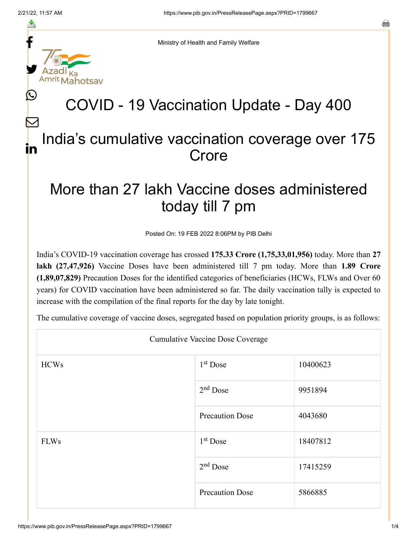f

≛

y.

ahotsay

L

 $\bm{\nabla}$ 

s

Ministry of Health and Family Welfare

## COVID - 19 Vaccination Update - Day 400

## India's cumulative vaccination coverage over 175 Crore in

## More than 27 lakh Vaccine doses administered today till 7 pm

Posted On: 19 FEB 2022 8:06PM by PIB Delhi

India's COVID-19 vaccination coverage has crossed **175.33 Crore (1,75,33,01,956)** today. More than **27 lakh (27,47,926)** Vaccine Doses have been administered till 7 pm today. More than **1.89 Crore (1,89,07,829)** Precaution Doses for the identified categories of beneficiaries (HCWs, FLWs and Over 60 years) for COVID vaccination have been administered so far. The daily vaccination tally is expected to increase with the compilation of the final reports for the day by late tonight.

The cumulative coverage of vaccine doses, segregated based on population priority groups, is as follows:

| <b>Cumulative Vaccine Dose Coverage</b> |                        |          |  |  |
|-----------------------------------------|------------------------|----------|--|--|
| <b>HCWs</b>                             | $1st$ Dose             | 10400623 |  |  |
|                                         | $2nd$ Dose             | 9951894  |  |  |
|                                         | <b>Precaution Dose</b> | 4043680  |  |  |
| <b>FLWs</b>                             | $1st$ Dose             | 18407812 |  |  |
|                                         | $2nd$ Dose             | 17415259 |  |  |
|                                         | <b>Precaution Dose</b> | 5866885  |  |  |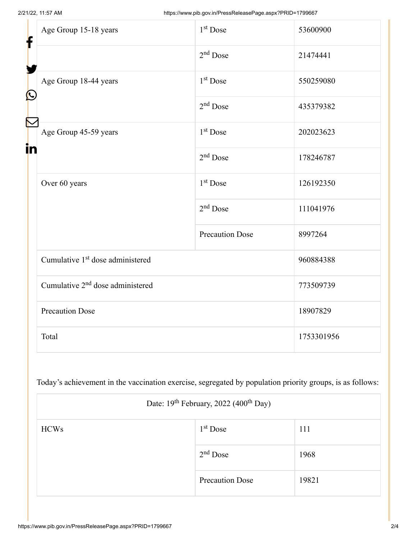| f<br>$\bigcirc$ | Age Group 15-18 years                        | 1 <sup>st</sup> Dose   | 53600900   |
|-----------------|----------------------------------------------|------------------------|------------|
|                 |                                              | $2nd$ Dose             | 21474441   |
|                 | Age Group 18-44 years                        | 1 <sup>st</sup> Dose   | 550259080  |
|                 |                                              | $2nd$ Dose             | 435379382  |
| F<br>in         | Age Group 45-59 years                        | 1 <sup>st</sup> Dose   | 202023623  |
|                 |                                              | $2nd$ Dose             | 178246787  |
|                 | Over 60 years                                | 1 <sup>st</sup> Dose   | 126192350  |
|                 |                                              | $2nd$ Dose             | 111041976  |
|                 |                                              | <b>Precaution Dose</b> | 8997264    |
|                 | Cumulative 1 <sup>st</sup> dose administered |                        | 960884388  |
|                 | Cumulative 2 <sup>nd</sup> dose administered |                        | 773509739  |
|                 | <b>Precaution Dose</b>                       |                        | 18907829   |
|                 | Total                                        |                        | 1753301956 |

Today's achievement in the vaccination exercise, segregated by population priority groups, is as follows:

| Date: 19 <sup>th</sup> February, 2022 (400 <sup>th</sup> Day) |                        |       |  |  |
|---------------------------------------------------------------|------------------------|-------|--|--|
| <b>HCWs</b>                                                   | $1st$ Dose             | 111   |  |  |
|                                                               | $2nd$ Dose             | 1968  |  |  |
|                                                               | <b>Precaution Dose</b> | 19821 |  |  |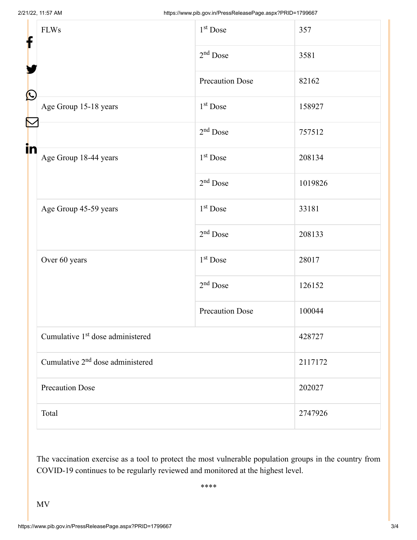| f<br>$\bf \Omega$<br>in | <b>FLWs</b>                                  | $1st$ Dose             | 357     |
|-------------------------|----------------------------------------------|------------------------|---------|
|                         |                                              | $2nd$ Dose             | 3581    |
|                         |                                              | <b>Precaution Dose</b> | 82162   |
|                         | Age Group 15-18 years                        | $1st$ Dose             | 158927  |
|                         |                                              | $2nd$ Dose             | 757512  |
|                         | Age Group 18-44 years                        | $1st$ Dose             | 208134  |
|                         |                                              | $2nd$ Dose             | 1019826 |
|                         | Age Group 45-59 years                        | 1 <sup>st</sup> Dose   | 33181   |
|                         |                                              | $2nd$ Dose             | 208133  |
|                         | Over 60 years                                | $1st$ Dose             | 28017   |
|                         |                                              | $2nd$ Dose             | 126152  |
|                         |                                              | <b>Precaution Dose</b> | 100044  |
|                         | Cumulative 1 <sup>st</sup> dose administered |                        | 428727  |
|                         | Cumulative 2 <sup>nd</sup> dose administered |                        | 2117172 |
|                         | <b>Precaution Dose</b>                       |                        | 202027  |
|                         | Total                                        |                        | 2747926 |

The vaccination exercise as a tool to protect the most vulnerable population groups in the country from COVID-19 continues to be regularly reviewed and monitored at the highest level.

\*\*\*\*

MV